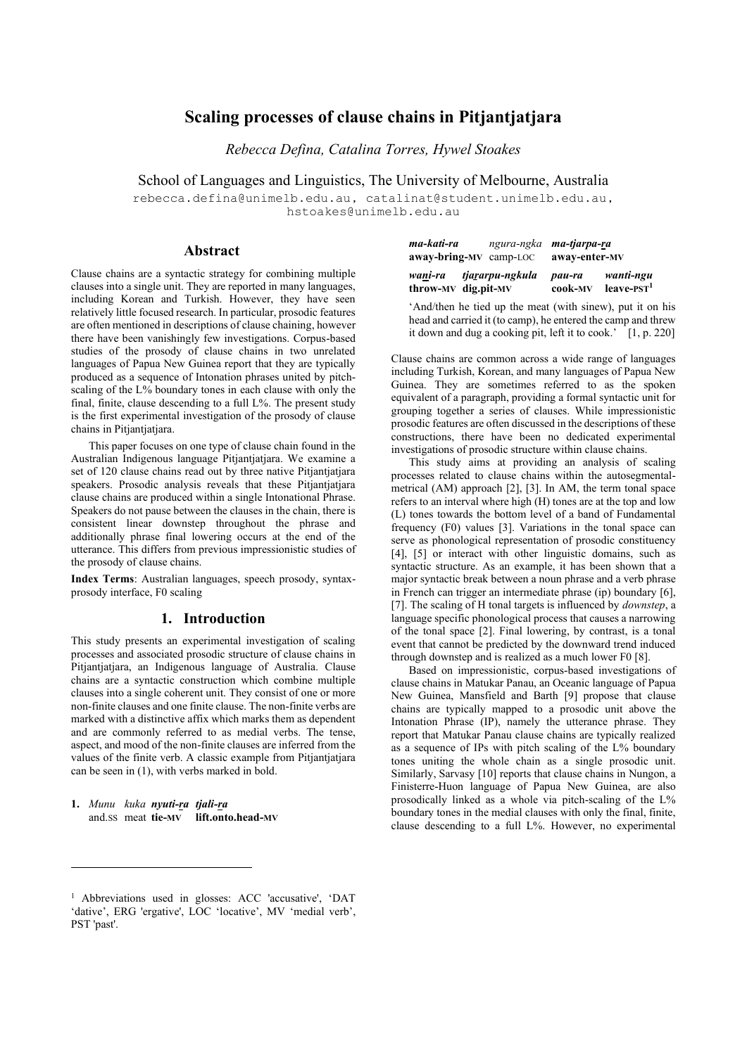# **Scaling processes of clause chains in Pitjantjatjara**

*Rebecca Defina, Catalina Torres, Hywel Stoakes*

School of Languages and Linguistics, The University of Melbourne, Australia

rebecca.defina@unimelb.edu.au, catalinat@student.unimelb.edu.au, hstoakes@unimelb.edu.au

### **Abstract**

Clause chains are a syntactic strategy for combining multiple clauses into a single unit. They are reported in many languages, including Korean and Turkish. However, they have seen relatively little focused research. In particular, prosodic features are often mentioned in descriptions of clause chaining, however there have been vanishingly few investigations. Corpus-based studies of the prosody of clause chains in two unrelated languages of Papua New Guinea report that they are typically produced as a sequence of Intonation phrases united by pitchscaling of the L% boundary tones in each clause with only the final, finite, clause descending to a full L%. The present study is the first experimental investigation of the prosody of clause chains in Pitjantjatjara.

This paper focuses on one type of clause chain found in the Australian Indigenous language Pitjantjatjara. We examine a set of 120 clause chains read out by three native Pitjantjatjara speakers. Prosodic analysis reveals that these Pitjantjatjara clause chains are produced within a single Intonational Phrase. Speakers do not pause between the clauses in the chain, there is consistent linear downstep throughout the phrase and additionally phrase final lowering occurs at the end of the utterance. This differs from previous impressionistic studies of the prosody of clause chains.

**Index Terms**: Australian languages, speech prosody, syntaxprosody interface, F0 scaling

### **1. Introduction**

This study presents an experimental investigation of scaling processes and associated prosodic structure of clause chains in Pitjantjatjara, an Indigenous language of Australia. Clause chains are a syntactic construction which combine multiple clauses into a single coherent unit. They consist of one or more non-finite clauses and one finite clause. The non-finite verbs are marked with a distinctive affix which marks them as dependent and are commonly referred to as medial verbs. The tense, aspect, and mood of the non-finite clauses are inferred from the values of the finite verb. A classic example from Pitjantjatjara can be seen in (1), with verbs marked in bold.

**1.** *Munu kuka nyuti-ra tjali-ra* and.SS meat **tie-MV lift.onto.head-MV**

| wani-ra<br>throw-MV dig.pit-MV                                     | tjararpu-ngkula                | pau-ra<br>cook-MV | wanti-ngu<br>$leave-1$ |
|--------------------------------------------------------------------|--------------------------------|-------------------|------------------------|
| ma-kati-ra<br>$away\text{-}bring\text{-}MV\text{-}camp\text{-}LOC$ | ngura-ngka <b>ma-tjarpa-ra</b> | away-enter-MV     |                        |

'And/then he tied up the meat (with sinew), put it on his head and carried it (to camp), he entered the camp and threw it down and dug a cooking pit, left it to cook.' [1, p. 220]

Clause chains are common across a wide range of languages including Turkish, Korean, and many languages of Papua New Guinea. They are sometimes referred to as the spoken equivalent of a paragraph, providing a formal syntactic unit for grouping together a series of clauses. While impressionistic prosodic features are often discussed in the descriptions of these constructions, there have been no dedicated experimental investigations of prosodic structure within clause chains.

This study aims at providing an analysis of scaling processes related to clause chains within the autosegmentalmetrical (AM) approach [2], [3]. In AM, the term tonal space refers to an interval where high (H) tones are at the top and low (L) tones towards the bottom level of a band of Fundamental frequency (F0) values [3]. Variations in the tonal space can serve as phonological representation of prosodic constituency [4], [5] or interact with other linguistic domains, such as syntactic structure. As an example, it has been shown that a major syntactic break between a noun phrase and a verb phrase in French can trigger an intermediate phrase (ip) boundary [6], [7]. The scaling of H tonal targets is influenced by *downstep*, a language specific phonological process that causes a narrowing of the tonal space [2]. Final lowering, by contrast, is a tonal event that cannot be predicted by the downward trend induced through downstep and is realized as a much lower F0 [8].

Based on impressionistic, corpus-based investigations of clause chains in Matukar Panau, an Oceanic language of Papua New Guinea, Mansfield and Barth [9] propose that clause chains are typically mapped to a prosodic unit above the Intonation Phrase (IP), namely the utterance phrase. They report that Matukar Panau clause chains are typically realized as a sequence of IPs with pitch scaling of the L% boundary tones uniting the whole chain as a single prosodic unit. Similarly, Sarvasy [10] reports that clause chains in Nungon, a Finisterre-Huon language of Papua New Guinea, are also prosodically linked as a whole via pitch-scaling of the L% boundary tones in the medial clauses with only the final, finite, clause descending to a full L%. However, no experimental

<sup>&</sup>lt;sup>1</sup> Abbreviations used in glosses: ACC 'accusative', 'DAT 'dative', ERG 'ergative', LOC 'locative', MV 'medial verb', PST 'past'.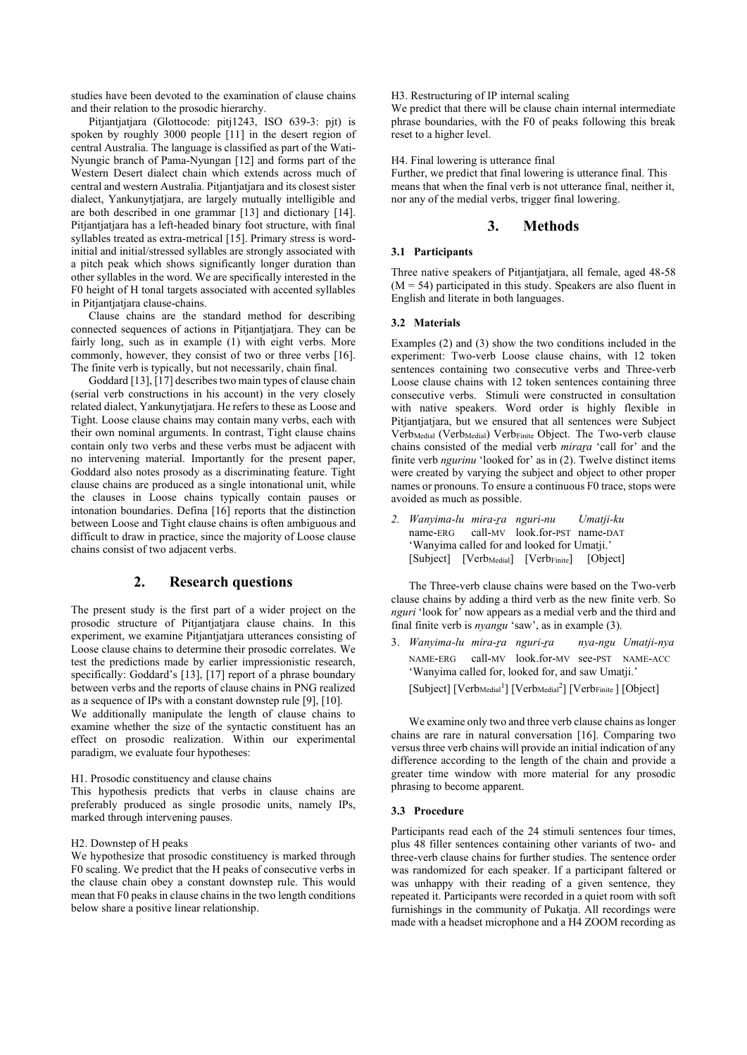studies have been devoted to the examination of clause chains and their relation to the prosodic hierarchy.

Pitjantjatjara (Glottocode: pitj1243, ISO 639-3: pjt) is spoken by roughly 3000 people [11] in the desert region of central Australia. The language is classified as part of the Wati-Nyungic branch of Pama-Nyungan [12] and forms part of the Western Desert dialect chain which extends across much of central and western Australia. Pitjantjatjara and its closest sister dialect, Yankunytjatjara, are largely mutually intelligible and are both described in one grammar [13] and dictionary [14]. Pitjantjatjara has a left-headed binary foot structure, with final syllables treated as extra-metrical [15]. Primary stress is wordinitial and initial/stressed syllables are strongly associated with a pitch peak which shows significantly longer duration than other syllables in the word. We are specifically interested in the F0 height of H tonal targets associated with accented syllables in Pitjantjatjara clause-chains.

Clause chains are the standard method for describing connected sequences of actions in Pitjantjatjara. They can be fairly long, such as in example (1) with eight verbs. More commonly, however, they consist of two or three verbs [16]. The finite verb is typically, but not necessarily, chain final.

Goddard [13], [17] describes two main types of clause chain (serial verb constructions in his account) in the very closely related dialect, Yankunytjatjara. He refers to these as Loose and Tight. Loose clause chains may contain many verbs, each with their own nominal arguments. In contrast, Tight clause chains contain only two verbs and these verbs must be adjacent with no intervening material. Importantly for the present paper, Goddard also notes prosody as a discriminating feature. Tight clause chains are produced as a single intonational unit, while the clauses in Loose chains typically contain pauses or intonation boundaries. Defina [16] reports that the distinction between Loose and Tight clause chains is often ambiguous and difficult to draw in practice, since the majority of Loose clause chains consist of two adjacent verbs.

# **2. Research questions**

The present study is the first part of a wider project on the prosodic structure of Pitjantjatjara clause chains. In this experiment, we examine Pitjantjatjara utterances consisting of Loose clause chains to determine their prosodic correlates. We test the predictions made by earlier impressionistic research, specifically: Goddard's [13], [17] report of a phrase boundary between verbs and the reports of clause chains in PNG realized as a sequence of IPs with a constant downstep rule [9], [10].

We additionally manipulate the length of clause chains to examine whether the size of the syntactic constituent has an effect on prosodic realization. Within our experimental paradigm, we evaluate four hypotheses:

#### H1. Prosodic constituency and clause chains

This hypothesis predicts that verbs in clause chains are preferably produced as single prosodic units, namely IPs, marked through intervening pauses.

### H2. Downstep of H peaks

We hypothesize that prosodic constituency is marked through F0 scaling. We predict that the H peaks of consecutive verbs in the clause chain obey a constant downstep rule. This would mean that F0 peaks in clause chains in the two length conditions below share a positive linear relationship.

H3. Restructuring of IP internal scaling

We predict that there will be clause chain internal intermediate phrase boundaries, with the F0 of peaks following this break reset to a higher level.

H4. Final lowering is utterance final

Further, we predict that final lowering is utterance final. This means that when the final verb is not utterance final, neither it, nor any of the medial verbs, trigger final lowering.

### **3. Methods**

### **3.1 Participants**

Three native speakers of Pitjantjatjara, all female, aged 48-58  $(M = 54)$  participated in this study. Speakers are also fluent in English and literate in both languages.

### **3.2 Materials**

Examples (2) and (3) show the two conditions included in the experiment: Two-verb Loose clause chains, with 12 token sentences containing two consecutive verbs and Three-verb Loose clause chains with 12 token sentences containing three consecutive verbs. Stimuli were constructed in consultation with native speakers. Word order is highly flexible in Pitjantjatjara, but we ensured that all sentences were Subject Verb<sub>Medial</sub> (Verb<sub>Medial</sub>) Verb<sub>Finite</sub> Object. The Two-verb clause chains consisted of the medial verb *miraṟa* 'call for' and the finite verb *ngurinu* 'looked for' as in (2). Twelve distinct items were created by varying the subject and object to other proper names or pronouns. To ensure a continuous F0 trace, stops were avoided as much as possible.

*2. Wanyima-lu mira-ṟa nguri-nu Umatji-ku* name-ERG call-MV look.for-PST name-DAT 'Wanyima called for and looked for Umatji.' [Subject] [Verb<sub>Medial</sub>] [Verb<sub>Finite</sub>] [Object]

The Three-verb clause chains were based on the Two-verb clause chains by adding a third verb as the new finite verb. So *nguri* 'look for' now appears as a medial verb and the third and final finite verb is *nyangu* 'saw', as in example (3).

3. *Wanyima-lu mira-ṟa nguri-ṟa nya-ngu Umatji-nya* NAME-ERG call-MV look.for-MV see-PST NAME-ACC 'Wanyima called for, looked for, and saw Umatji.' [Subject] [Verb<sub>Medial</sub><sup>1</sup>] [Verb<sub>Medial</sub><sup>2</sup>] [Verb<sub>Finite</sub>] [Object]

We examine only two and three verb clause chains as longer chains are rare in natural conversation [16]. Comparing two versus three verb chains will provide an initial indication of any difference according to the length of the chain and provide a greater time window with more material for any prosodic phrasing to become apparent.

#### **3.3 Procedure**

Participants read each of the 24 stimuli sentences four times, plus 48 filler sentences containing other variants of two- and three-verb clause chains for further studies. The sentence order was randomized for each speaker. If a participant faltered or was unhappy with their reading of a given sentence, they repeated it. Participants were recorded in a quiet room with soft furnishings in the community of Pukatja. All recordings were made with a headset microphone and a H4 ZOOM recording as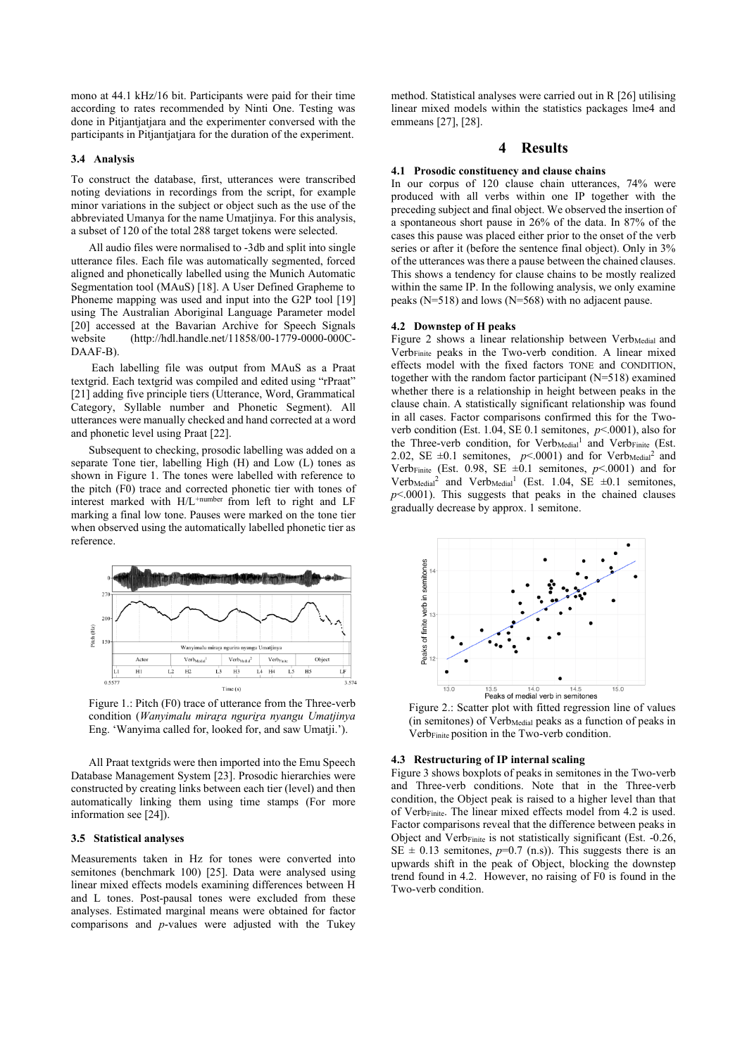mono at 44.1 kHz/16 bit. Participants were paid for their time according to rates recommended by Ninti One. Testing was done in Pitjantjatjara and the experimenter conversed with the participants in Pitjantjatjara for the duration of the experiment.

### **3.4 Analysis**

To construct the database, first, utterances were transcribed noting deviations in recordings from the script, for example minor variations in the subject or object such as the use of the abbreviated Umanya for the name Umatjinya. For this analysis, a subset of 120 of the total 288 target tokens were selected.

All audio files were normalised to -3db and split into single utterance files. Each file was automatically segmented, forced aligned and phonetically labelled using the Munich Automatic Segmentation tool (MAuS) [18]. A User Defined Grapheme to Phoneme mapping was used and input into the G2P tool [19] using The Australian Aboriginal Language Parameter model [20] accessed at the Bavarian Archive for Speech Signals website (http://hdl.handle.net/11858/00-1779-0000-000C-DAAF-B).

Each labelling file was output from MAuS as a Praat textgrid. Each textgrid was compiled and edited using "rPraat" [21] adding five principle tiers (Utterance, Word, Grammatical Category, Syllable number and Phonetic Segment). All utterances were manually checked and hand corrected at a word and phonetic level using Praat [22].

Subsequent to checking, prosodic labelling was added on a separate Tone tier, labelling High (H) and Low (L) tones as shown in Figure 1. The tones were labelled with reference to the pitch (F0) trace and corrected phonetic tier with tones of interest marked with H/L<sup>+number</sup> from left to right and LF marking a final low tone. Pauses were marked on the tone tier when observed using the automatically labelled phonetic tier as reference.



Figure 1.: Pitch (F0) trace of utterance from the Three-verb condition (*Wanyimalu miraṟa nguriṟa nyangu Umatjinya* Eng. 'Wanyima called for, looked for, and saw Umatji.').

All Praat textgrids were then imported into the Emu Speech Database Management System [23]. Prosodic hierarchies were constructed by creating links between each tier (level) and then automatically linking them using time stamps (For more information see [24]).

#### **3.5 Statistical analyses**

Measurements taken in Hz for tones were converted into semitones (benchmark 100) [25]. Data were analysed using linear mixed effects models examining differences between H and L tones. Post-pausal tones were excluded from these analyses. Estimated marginal means were obtained for factor comparisons and *p*-values were adjusted with the Tukey

method. Statistical analyses were carried out in R [26] utilising linear mixed models within the statistics packages lme4 and emmeans [27], [28].

### **4 Results**

#### **4.1 Prosodic constituency and clause chains**

In our corpus of 120 clause chain utterances, 74% were produced with all verbs within one IP together with the preceding subject and final object. We observed the insertion of a spontaneous short pause in 26% of the data. In 87% of the cases this pause was placed either prior to the onset of the verb series or after it (before the sentence final object). Only in 3% of the utterances was there a pause between the chained clauses. This shows a tendency for clause chains to be mostly realized within the same IP. In the following analysis, we only examine peaks (N=518) and lows (N=568) with no adjacent pause.

#### **4.2 Downstep of H peaks**

Figure 2 shows a linear relationship between Verb<sub>Medial</sub> and VerbFinite peaks in the Two-verb condition. A linear mixed effects model with the fixed factors TONE and CONDITION, together with the random factor participant (N=518) examined whether there is a relationship in height between peaks in the clause chain. A statistically significant relationship was found in all cases. Factor comparisons confirmed this for the Twoverb condition (Est. 1.04, SE 0.1 semitones, *p*<.0001), also for the Three-verb condition, for Verb<sub>Medial</sub><sup>1</sup> and Verb<sub>Finite</sub> (Est. 2.02, SE  $\pm 0.1$  semitones,  $p<.0001$ ) and for Verb<sub>Medial</sub><sup>2</sup> and Verb<sub>Finite</sub> (Est. 0.98, SE  $\pm 0.1$  semitones,  $p$ <.0001) and for Verb<sub>Medial</sub><sup>2</sup> and Verb<sub>Medial</sub><sup>1</sup> (Est. 1.04, SE  $\pm$ 0.1 semitones,  $p$ <.0001). This suggests that peaks in the chained clauses gradually decrease by approx. 1 semitone.



Figure 2.: Scatter plot with fitted regression line of values  $(in$  semitones) of  $Verb$ <sub>Medial</sub> peaks as a function of peaks in Verb<sub>Finite</sub> position in the Two-verb condition.

#### **4.3 Restructuring of IP internal scaling**

Figure 3 shows boxplots of peaks in semitones in the Two-verb and Three-verb conditions. Note that in the Three-verb condition, the Object peak is raised to a higher level than that of VerbFinite. The linear mixed effects model from 4.2 is used. Factor comparisons reveal that the difference between peaks in Object and Verb<sub>Finite</sub> is not statistically significant (Est. -0.26, SE  $\pm$  0.13 semitones,  $p=0.7$  (n.s)). This suggests there is an upwards shift in the peak of Object, blocking the downstep trend found in 4.2. However, no raising of F0 is found in the Two-verb condition.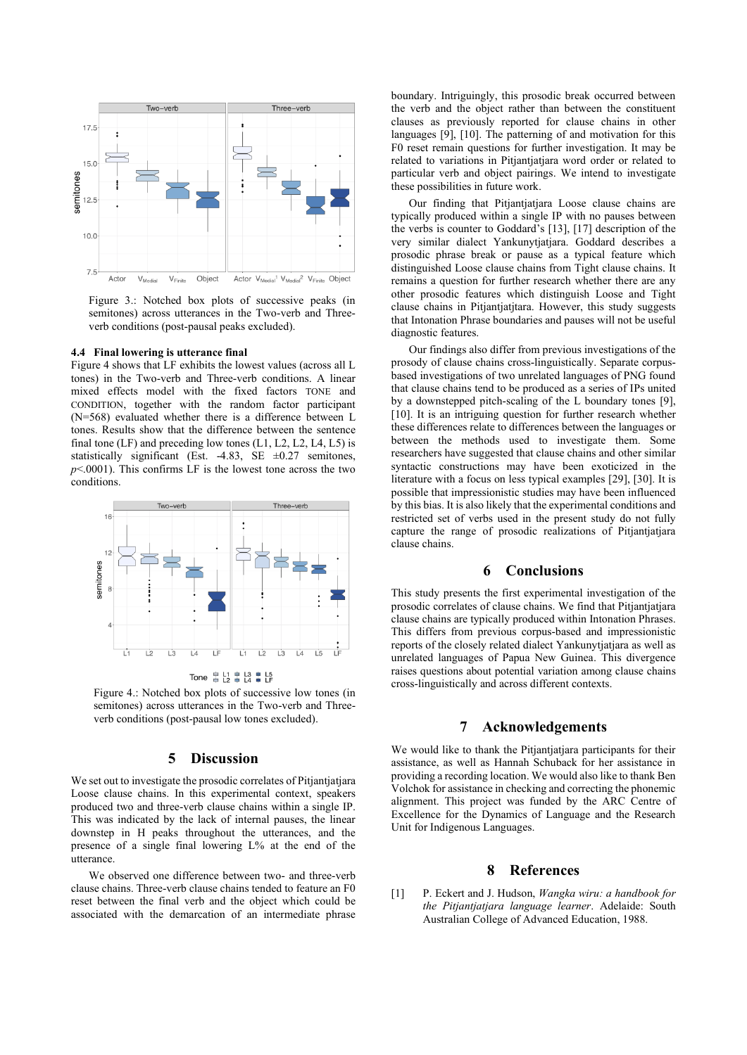

Figure 3.: Notched box plots of successive peaks (in semitones) across utterances in the Two-verb and Threeverb conditions (post-pausal peaks excluded).

#### **4.4 Final lowering is utterance final**

Figure 4 shows that LF exhibits the lowest values (across all L tones) in the Two-verb and Three-verb conditions. A linear mixed effects model with the fixed factors TONE and CONDITION, together with the random factor participant (N=568) evaluated whether there is a difference between L tones. Results show that the difference between the sentence final tone  $(LF)$  and preceding low tones  $(L1, L2, L2, L4, L5)$  is statistically significant (Est. -4.83, SE  $\pm 0.27$  semitones, *p*<.0001). This confirms LF is the lowest tone across the two conditions.



Tone  $\frac{6}{9}$   $\frac{11}{12}$   $\frac{6}{9}$   $\frac{13}{14}$   $\frac{6}{9}$   $\frac{15}{15}$ 

Figure 4.: Notched box plots of successive low tones (in semitones) across utterances in the Two-verb and Threeverb conditions (post-pausal low tones excluded).

### **5 Discussion**

We set out to investigate the prosodic correlates of Pitjantjatjara Loose clause chains. In this experimental context, speakers produced two and three-verb clause chains within a single IP. This was indicated by the lack of internal pauses, the linear downstep in H peaks throughout the utterances, and the presence of a single final lowering L% at the end of the utterance.

We observed one difference between two- and three-verb clause chains. Three-verb clause chains tended to feature an F0 reset between the final verb and the object which could be associated with the demarcation of an intermediate phrase boundary. Intriguingly, this prosodic break occurred between the verb and the object rather than between the constituent clauses as previously reported for clause chains in other languages [9], [10]. The patterning of and motivation for this F0 reset remain questions for further investigation. It may be related to variations in Pitjantjatjara word order or related to particular verb and object pairings. We intend to investigate these possibilities in future work.

Our finding that Pitjantjatjara Loose clause chains are typically produced within a single IP with no pauses between the verbs is counter to Goddard's [13], [17] description of the very similar dialect Yankunytjatjara. Goddard describes a prosodic phrase break or pause as a typical feature which distinguished Loose clause chains from Tight clause chains. It remains a question for further research whether there are any other prosodic features which distinguish Loose and Tight clause chains in Pitjantjatjtara. However, this study suggests that Intonation Phrase boundaries and pauses will not be useful diagnostic features.

Our findings also differ from previous investigations of the prosody of clause chains cross-linguistically. Separate corpusbased investigations of two unrelated languages of PNG found that clause chains tend to be produced as a series of IPs united by a downstepped pitch-scaling of the L boundary tones [9], [10]. It is an intriguing question for further research whether these differences relate to differences between the languages or between the methods used to investigate them. Some researchers have suggested that clause chains and other similar syntactic constructions may have been exoticized in the literature with a focus on less typical examples [29], [30]. It is possible that impressionistic studies may have been influenced by this bias. It is also likely that the experimental conditions and restricted set of verbs used in the present study do not fully capture the range of prosodic realizations of Pitjantjatjara clause chains.

# **6 Conclusions**

This study presents the first experimental investigation of the prosodic correlates of clause chains. We find that Pitjantjatjara clause chains are typically produced within Intonation Phrases. This differs from previous corpus-based and impressionistic reports of the closely related dialect Yankunytjatjara as well as unrelated languages of Papua New Guinea. This divergence raises questions about potential variation among clause chains cross-linguistically and across different contexts.

### **7 Acknowledgements**

We would like to thank the Pitjantjatjara participants for their assistance, as well as Hannah Schuback for her assistance in providing a recording location. We would also like to thank Ben Volchok for assistance in checking and correcting the phonemic alignment. This project was funded by the ARC Centre of Excellence for the Dynamics of Language and the Research Unit for Indigenous Languages.

### **8 References**

[1] P. Eckert and J. Hudson, *Wangka wiru: a handbook for the Pitjantjatjara language learner*. Adelaide: South Australian College of Advanced Education, 1988.